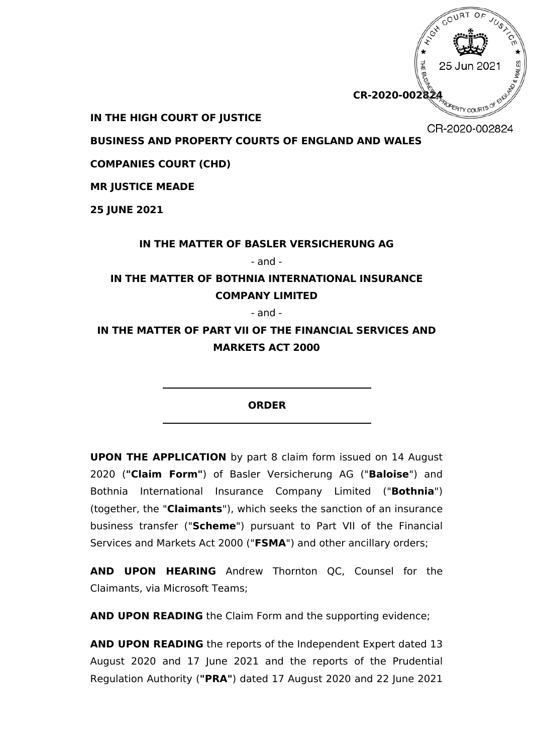

**IN THE HIGH COURT OF JUSTICE**

CR-2020-002824

**BUSINESS AND PROPERTY COURTS OF ENGLAND AND WALES**

**COMPANIES COURT (CHD)**

**MR JUSTICE MEADE**

**25 JUNE 2021** 

## **IN THE MATTER OF BASLER VERSICHERUNG AG**

- and -

# **IN THE MATTER OF BOTHNIA INTERNATIONAL INSURANCE COMPANY LIMITED**

- and -

**IN THE MATTER OF PART VII OF THE FINANCIAL SERVICES AND MARKETS ACT 2000**

**ORDER**

**UPON THE APPLICATION** by part 8 claim form issued on 14 August 2020 (**"Claim Form"**) of Basler Versicherung AG ("**Baloise**") and Bothnia International Insurance Company Limited ("**Bothnia**") (together, the "**Claimants**"), which seeks the sanction of an insurance business transfer ("**Scheme**") pursuant to Part VII of the Financial Services and Markets Act 2000 ("**FSMA**") and other ancillary orders;

**AND UPON HEARING** Andrew Thornton QC, Counsel for the Claimants, via Microsoft Teams;

**AND UPON READING** the Claim Form and the supporting evidence;

**AND UPON READING** the reports of the Independent Expert dated 13 August 2020 and 17 June 2021 and the reports of the Prudential Regulation Authority (**"PRA"**) dated 17 August 2020 and 22 June 2021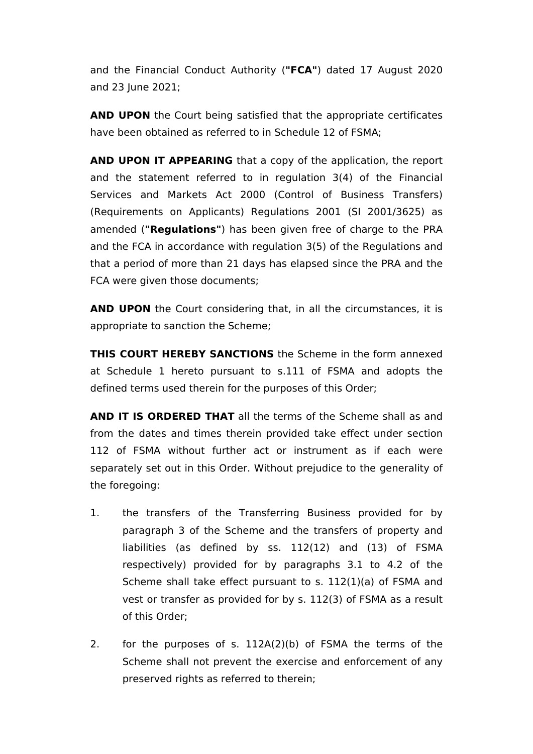and the Financial Conduct Authority (**"FCA"**) dated 17 August 2020 and 23 June 2021;

**AND UPON** the Court being satisfied that the appropriate certificates have been obtained as referred to in Schedule 12 of FSMA;

**AND UPON IT APPEARING** that a copy of the application, the report and the statement referred to in regulation 3(4) of the Financial Services and Markets Act 2000 (Control of Business Transfers) (Requirements on Applicants) Regulations 2001 (SI 2001/3625) as amended (**"Regulations"**) has been given free of charge to the PRA and the FCA in accordance with regulation 3(5) of the Regulations and that a period of more than 21 days has elapsed since the PRA and the FCA were given those documents;

**AND UPON** the Court considering that, in all the circumstances, it is appropriate to sanction the Scheme;

**THIS COURT HEREBY SANCTIONS** the Scheme in the form annexed at Schedule 1 hereto pursuant to s.111 of FSMA and adopts the defined terms used therein for the purposes of this Order;

**AND IT IS ORDERED THAT** all the terms of the Scheme shall as and from the dates and times therein provided take effect under section 112 of FSMA without further act or instrument as if each were separately set out in this Order. Without prejudice to the generality of the foregoing:

- 1. the transfers of the Transferring Business provided for by paragraph 3 of the Scheme and the transfers of property and liabilities (as defined by ss. 112(12) and (13) of FSMA respectively) provided for by paragraphs 3.1 to 4.2 of the Scheme shall take effect pursuant to s. 112(1)(a) of FSMA and vest or transfer as provided for by s. 112(3) of FSMA as a result of this Order;
- 2. for the purposes of s. 112A(2)(b) of FSMA the terms of the Scheme shall not prevent the exercise and enforcement of any preserved rights as referred to therein;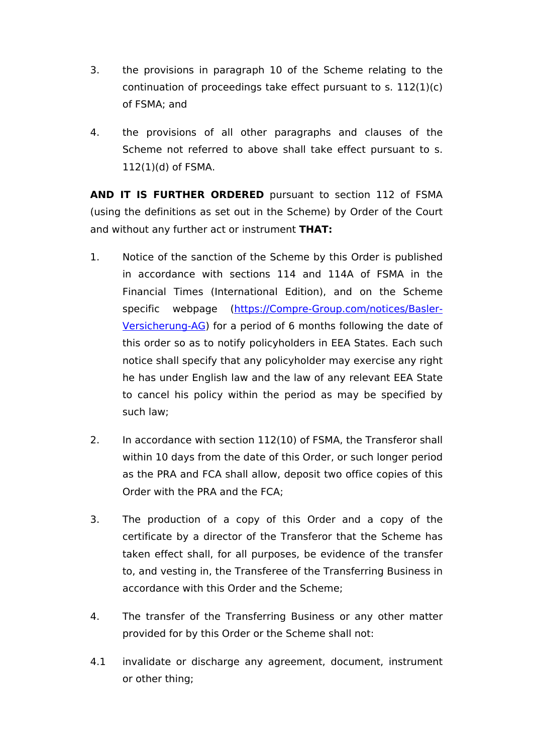- 3. the provisions in paragraph 10 of the Scheme relating to the continuation of proceedings take effect pursuant to s. 112(1)(c) of FSMA; and
- 4. the provisions of all other paragraphs and clauses of the Scheme not referred to above shall take effect pursuant to s. 112(1)(d) of FSMA.

**AND IT IS FURTHER ORDERED** pursuant to section 112 of FSMA (using the definitions as set out in the Scheme) by Order of the Court and without any further act or instrument **THAT:** 

- 1. Notice of the sanction of the Scheme by this Order is published in accordance with sections 114 and 114A of FSMA in the Financial Times (International Edition), and on the Scheme specific webpage ([https://Compre-Group.com/notices/Basler-](https://Compre-Group.com/notices/Basler-Versicherung-AG)[Versicherung-AG\)](https://Compre-Group.com/notices/Basler-Versicherung-AG) for a period of 6 months following the date of this order so as to notify policyholders in EEA States. Each such notice shall specify that any policyholder may exercise any right he has under English law and the law of any relevant EEA State to cancel his policy within the period as may be specified by such law;
- 2. In accordance with section 112(10) of FSMA, the Transferor shall within 10 days from the date of this Order, or such longer period as the PRA and FCA shall allow, deposit two office copies of this Order with the PRA and the FCA;
- 3. The production of a copy of this Order and a copy of the certificate by a director of the Transferor that the Scheme has taken effect shall, for all purposes, be evidence of the transfer to, and vesting in, the Transferee of the Transferring Business in accordance with this Order and the Scheme;
- 4. The transfer of the Transferring Business or any other matter provided for by this Order or the Scheme shall not:
- 4.1 invalidate or discharge any agreement, document, instrument or other thing;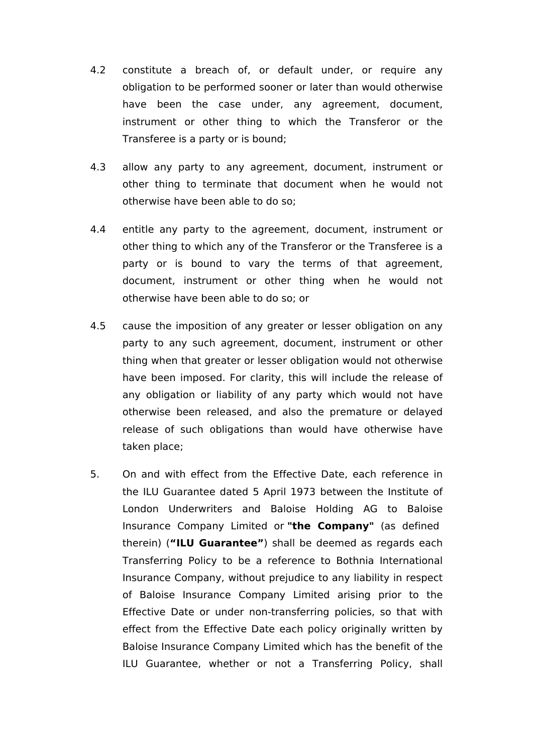- 4.2 constitute a breach of, or default under, or require any obligation to be performed sooner or later than would otherwise have been the case under, any agreement, document, instrument or other thing to which the Transferor or the Transferee is a party or is bound;
- 4.3 allow any party to any agreement, document, instrument or other thing to terminate that document when he would not otherwise have been able to do so;
- 4.4 entitle any party to the agreement, document, instrument or other thing to which any of the Transferor or the Transferee is a party or is bound to vary the terms of that agreement, document, instrument or other thing when he would not otherwise have been able to do so; or
- 4.5 cause the imposition of any greater or lesser obligation on any party to any such agreement, document, instrument or other thing when that greater or lesser obligation would not otherwise have been imposed. For clarity, this will include the release of any obligation or liability of any party which would not have otherwise been released, and also the premature or delayed release of such obligations than would have otherwise have taken place;
- 5. On and with effect from the Effective Date, each reference in the ILU Guarantee dated 5 April 1973 between the Institute of London Underwriters and Baloise Holding AG to Baloise Insurance Company Limited or **"the Company"** (as defined therein) (**"ILU Guarantee"**) shall be deemed as regards each Transferring Policy to be a reference to Bothnia International Insurance Company, without prejudice to any liability in respect of Baloise Insurance Company Limited arising prior to the Effective Date or under non-transferring policies, so that with effect from the Effective Date each policy originally written by Baloise Insurance Company Limited which has the benefit of the ILU Guarantee, whether or not a Transferring Policy, shall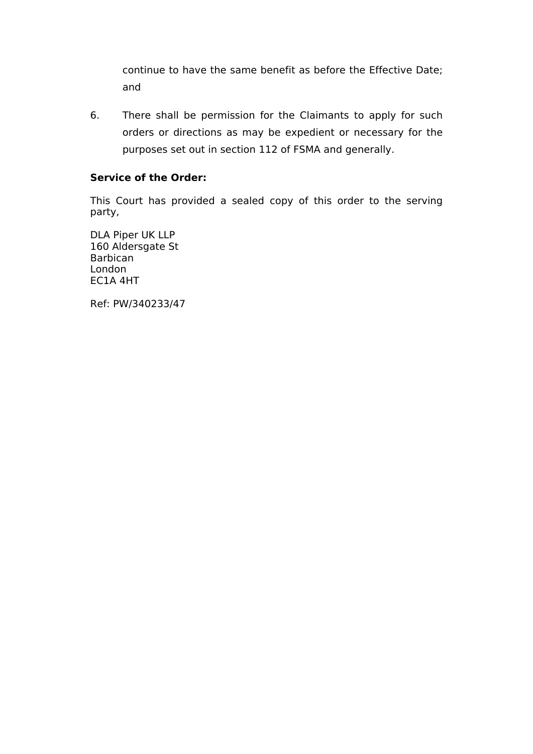continue to have the same benefit as before the Effective Date; and

6. There shall be permission for the Claimants to apply for such orders or directions as may be expedient or necessary for the purposes set out in section 112 of FSMA and generally.

## **Service of the Order:**

This Court has provided a sealed copy of this order to the serving party,

DLA Piper UK LLP 160 Aldersgate St Barbican London EC1A 4HT

Ref: PW/340233/47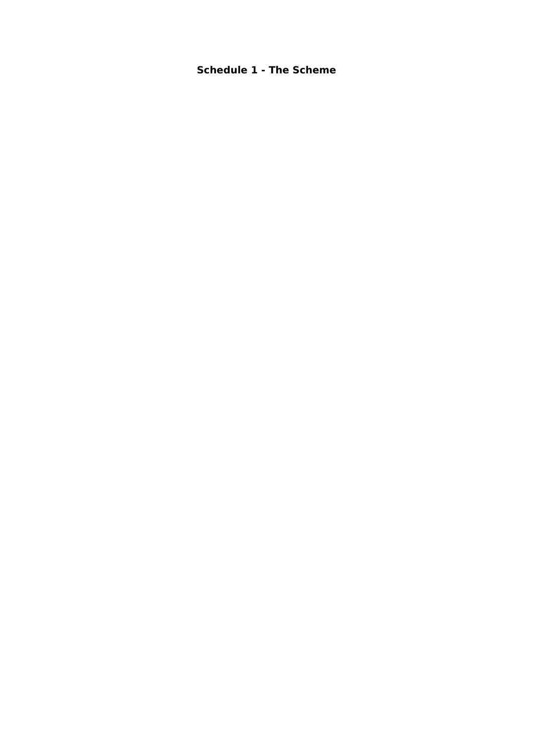## **Schedule 1 - The Scheme**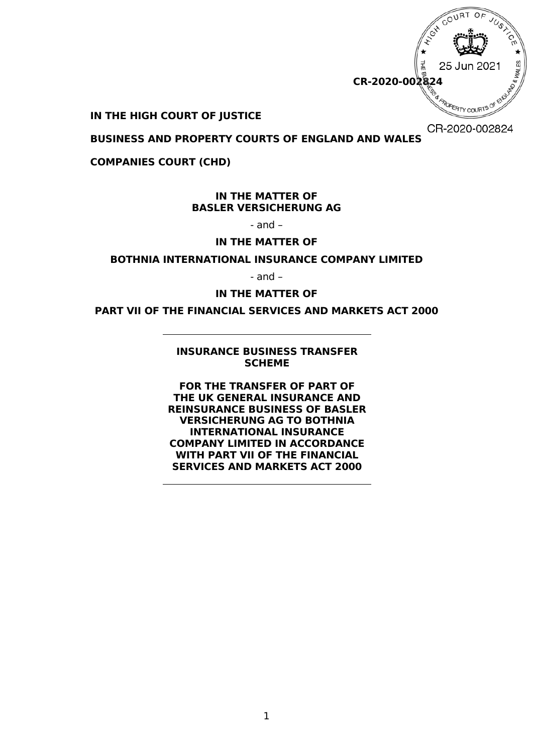

### **IN THE HIGH COURT OF JUSTICE**

<span id="page-6-0"></span>CR-2020-002824

**BUSINESS AND PROPERTY COURTS OF ENGLAND AND WALES**

**COMPANIES COURT (CHD)** 

### **IN THE MATTER OF BASLER VERSICHERUNG AG**

- and –

### **IN THE MATTER OF**

#### **BOTHNIA INTERNATIONAL INSURANCE COMPANY LIMITED**

- and –

**IN THE MATTER OF** 

**PART VII OF THE FINANCIAL SERVICES AND MARKETS ACT 2000**

### <span id="page-6-1"></span>**INSURANCE BUSINESS TRANSFER SCHEME**

**FOR THE TRANSFER OF PART OF THE UK GENERAL INSURANCE AND REINSURANCE BUSINESS OF BASLER VERSICHERUNG AG TO BOTHNIA INTERNATIONAL INSURANCE COMPANY LIMITED IN ACCORDANCE WITH PART VII OF THE FINANCIAL SERVICES AND MARKETS ACT 2000**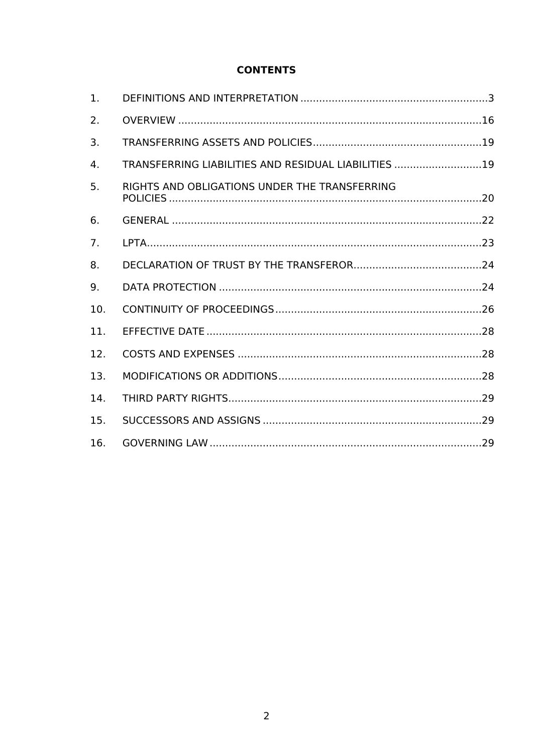## **CONTENTS**

| 1.             |                                                      |  |
|----------------|------------------------------------------------------|--|
| 2.             |                                                      |  |
| 3.             |                                                      |  |
| 4.             | TRANSFERRING LIABILITIES AND RESIDUAL LIABILITIES 19 |  |
| 5.             | RIGHTS AND OBLIGATIONS UNDER THE TRANSFERRING        |  |
| 6.             |                                                      |  |
| 7 <sub>1</sub> |                                                      |  |
| 8.             |                                                      |  |
| 9.             |                                                      |  |
| 10.            |                                                      |  |
| 11.            |                                                      |  |
| 12.            |                                                      |  |
| 13.            |                                                      |  |
| 14.            |                                                      |  |
| 15.            |                                                      |  |
| 16.            |                                                      |  |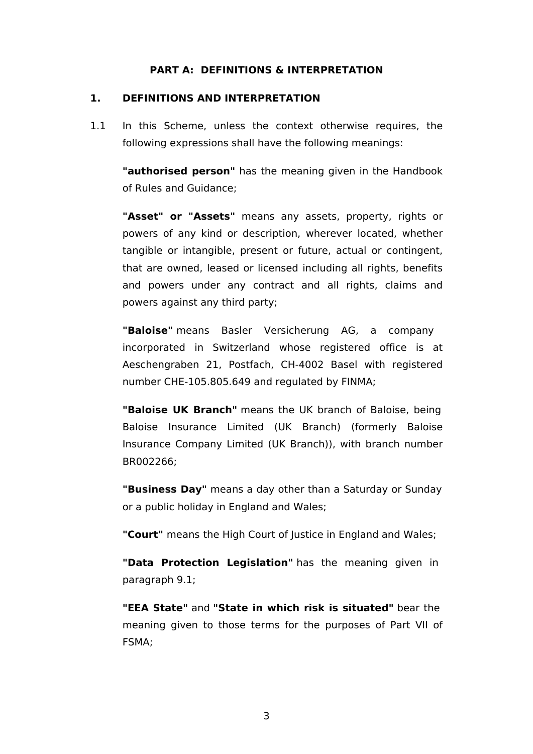### **PART A: DEFINITIONS & INTERPRETATION**

### <span id="page-8-0"></span>**1. DEFINITIONS AND INTERPRETATION**

1.1 In this Scheme, unless the context otherwise requires, the following expressions shall have the following meanings:

**"authorised person"** has the meaning given in the Handbook of Rules and Guidance;

**"Asset" or "Assets"** means any assets, property, rights or powers of any kind or description, wherever located, whether tangible or intangible, present or future, actual or contingent, that are owned, leased or licensed including all rights, benefits and powers under any contract and all rights, claims and powers against any third party;

**"Baloise"** means Basler Versicherung AG, a company incorporated in Switzerland whose registered office is at Aeschengraben 21, Postfach, CH-4002 Basel with registered number CHE-105.805.649 and regulated by FINMA;

**"Baloise UK Branch"** means the UK branch of Baloise, being Baloise Insurance Limited (UK Branch) (formerly Baloise Insurance Company Limited (UK Branch)), with branch number BR002266;

**"Business Day"** means a day other than a Saturday or Sunday or a public holiday in England and Wales;

**"Court"** means the High Court of Justice in England and Wales;

**"Data Protection Legislation"** has the meaning given in paragraph [9.1;](#page-32-2)

**"EEA State"** and **"State in which risk is situated"** bear the meaning given to those terms for the purposes of Part VII of FSMA;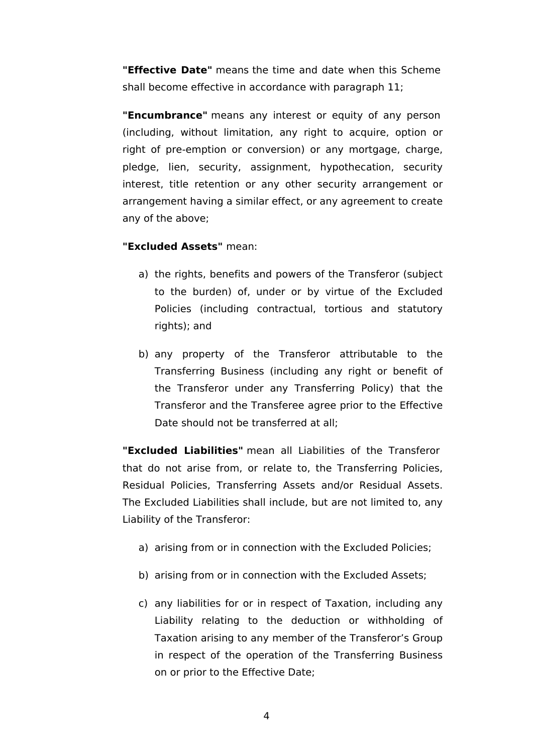**"Effective Date"** means the time and date when this Scheme shall become effective in accordance with paragraph [11;](#page-37-0)

**"Encumbrance"** means any interest or equity of any person (including, without limitation, any right to acquire, option or right of pre-emption or conversion) or any mortgage, charge, pledge, lien, security, assignment, hypothecation, security interest, title retention or any other security arrangement or arrangement having a similar effect, or any agreement to create any of the above;

## **"Excluded Assets"** mean:

- a) the rights, benefits and powers of the Transferor (subject to the burden) of, under or by virtue of the Excluded Policies (including contractual, tortious and statutory rights); and
- b) any property of the Transferor attributable to the Transferring Business (including any right or benefit of the Transferor under any Transferring Policy) that the Transferor and the Transferee agree prior to the Effective Date should not be transferred at all;

**"Excluded Liabilities"** mean all Liabilities of the Transferor that do not arise from, or relate to, the Transferring Policies, Residual Policies, Transferring Assets and/or Residual Assets. The Excluded Liabilities shall include, but are not limited to, any Liability of the Transferor:

- a) arising from or in connection with the Excluded Policies;
- b) arising from or in connection with the Excluded Assets;
- c) any liabilities for or in respect of Taxation, including any Liability relating to the deduction or withholding of Taxation arising to any member of the Transferor's Group in respect of the operation of the Transferring Business on or prior to the Effective Date;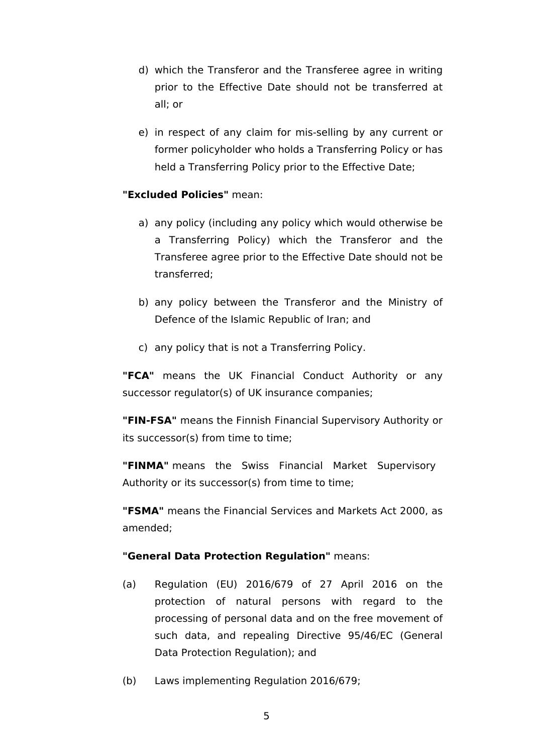- d) which the Transferor and the Transferee agree in writing prior to the Effective Date should not be transferred at all; or
- e) in respect of any claim for mis-selling by any current or former policyholder who holds a Transferring Policy or has held a Transferring Policy prior to the Effective Date;

## **"Excluded Policies"** mean:

- a) any policy (including any policy which would otherwise be a Transferring Policy) which the Transferor and the Transferee agree prior to the Effective Date should not be transferred;
- b) any policy between the Transferor and the Ministry of Defence of the Islamic Republic of Iran; and
- c) any policy that is not a Transferring Policy.

**"FCA"** means the UK Financial Conduct Authority or any successor regulator(s) of UK insurance companies;

**"FIN-FSA"** means the Finnish Financial Supervisory Authority or its successor(s) from time to time;

**"FINMA"** means the Swiss Financial Market Supervisory Authority or its successor(s) from time to time;

**"FSMA"** means the Financial Services and Markets Act 2000, as amended;

## **"General Data Protection Regulation"** means:

- (a) Regulation (EU) 2016/679 of 27 April 2016 on the protection of natural persons with regard to the processing of personal data and on the free movement of such data, and repealing Directive 95/46/EC (General Data Protection Regulation); and
- (b) Laws implementing Regulation 2016/679;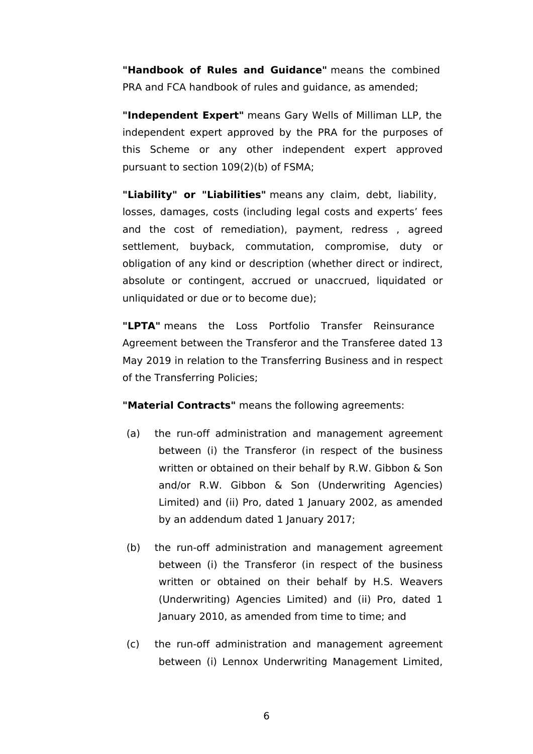**"Handbook of Rules and Guidance"** means the combined PRA and FCA handbook of rules and guidance, as amended;

**"Independent Expert"** means Gary Wells of Milliman LLP, the independent expert approved by the PRA for the purposes of this Scheme or any other independent expert approved pursuant to section 109(2)(b) of FSMA;

**"Liability" or "Liabilities"** means any claim, debt, liability, losses, damages, costs (including legal costs and experts' fees and the cost of remediation), payment, redress , agreed settlement, buyback, commutation, compromise, duty or obligation of any kind or description (whether direct or indirect, absolute or contingent, accrued or unaccrued, liquidated or unliquidated or due or to become due);

**"LPTA"** means the Loss Portfolio Transfer Reinsurance Agreement between the Transferor and the Transferee dated 13 May 2019 in relation to the Transferring Business and in respect of the Transferring Policies;

**"Material Contracts"** means the following agreements:

- (a) the run-off administration and management agreement between (i) the Transferor (in respect of the business written or obtained on their behalf by R.W. Gibbon & Son and/or R.W. Gibbon & Son (Underwriting Agencies) Limited) and (ii) Pro, dated 1 January 2002, as amended by an addendum dated 1 January 2017;
- (b) the run-off administration and management agreement between (i) the Transferor (in respect of the business written or obtained on their behalf by H.S. Weavers (Underwriting) Agencies Limited) and (ii) Pro, dated 1 January 2010, as amended from time to time; and
- (c) the run-off administration and management agreement between (i) Lennox Underwriting Management Limited,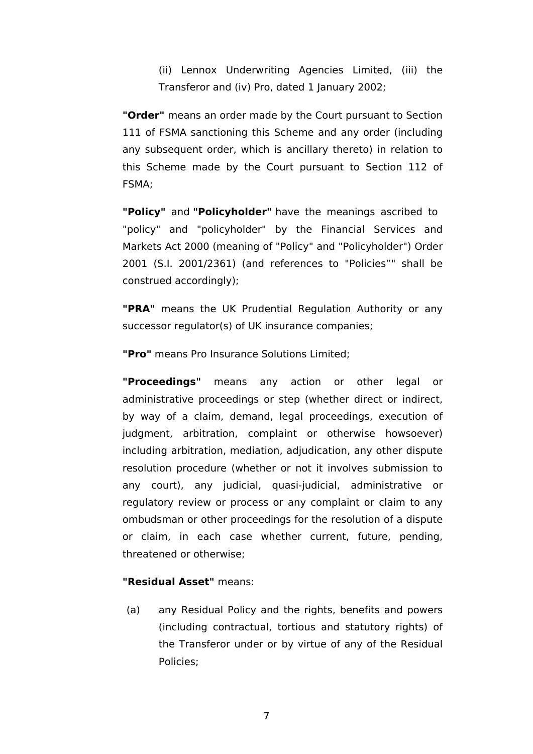(ii) Lennox Underwriting Agencies Limited, (iii) the Transferor and (iv) Pro, dated 1 January 2002;

**"Order"** means an order made by the Court pursuant to Section 111 of FSMA sanctioning this Scheme and any order (including any subsequent order, which is ancillary thereto) in relation to this Scheme made by the Court pursuant to Section 112 of FSMA;

**"Policy"** and **"Policyholder"** have the meanings ascribed to "policy" and "policyholder" by the Financial Services and Markets Act 2000 (meaning of "Policy" and "Policyholder") Order 2001 (S.I. 2001/2361) (and references to "Policies"" shall be construed accordingly);

**"PRA"** means the UK Prudential Regulation Authority or any successor regulator(s) of UK insurance companies;

**"Pro"** means Pro Insurance Solutions Limited;

**"Proceedings"** means any action or other legal or administrative proceedings or step (whether direct or indirect, by way of a claim, demand, legal proceedings, execution of judgment, arbitration, complaint or otherwise howsoever) including arbitration, mediation, adjudication, any other dispute resolution procedure (whether or not it involves submission to any court), any judicial, quasi-judicial, administrative or regulatory review or process or any complaint or claim to any ombudsman or other proceedings for the resolution of a dispute or claim, in each case whether current, future, pending, threatened or otherwise;

## **"Residual Asset"** means:

<span id="page-12-0"></span>(a) any Residual Policy and the rights, benefits and powers (including contractual, tortious and statutory rights) of the Transferor under or by virtue of any of the Residual Policies;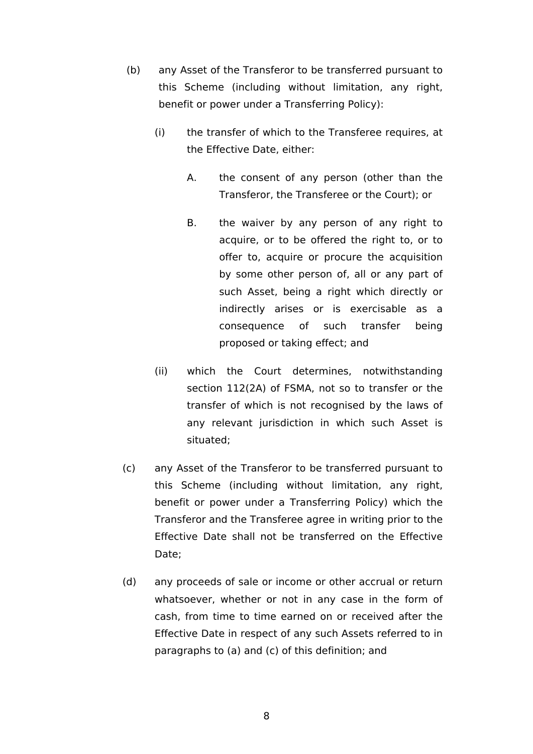- (b) any Asset of the Transferor to be transferred pursuant to this Scheme (including without limitation, any right, benefit or power under a Transferring Policy):
	- (i) the transfer of which to the Transferee requires, at the Effective Date, either:
		- A. the consent of any person (other than the Transferor, the Transferee or the Court); or
		- B. the waiver by any person of any right to acquire, or to be offered the right to, or to offer to, acquire or procure the acquisition by some other person of, all or any part of such Asset, being a right which directly or indirectly arises or is exercisable as a consequence of such transfer being proposed or taking effect; and
	- (ii) which the Court determines, notwithstanding section 112(2A) of FSMA, not so to transfer or the transfer of which is not recognised by the laws of any relevant jurisdiction in which such Asset is situated;
- <span id="page-13-0"></span>(c) any Asset of the Transferor to be transferred pursuant to this Scheme (including without limitation, any right, benefit or power under a Transferring Policy) which the Transferor and the Transferee agree in writing prior to the Effective Date shall not be transferred on the Effective Date;
- (d) any proceeds of sale or income or other accrual or return whatsoever, whether or not in any case in the form of cash, from time to time earned on or received after the Effective Date in respect of any such Assets referred to in paragraphs to [\(a\)](#page-12-0) and [\(c\)](#page-13-0) of this definition; and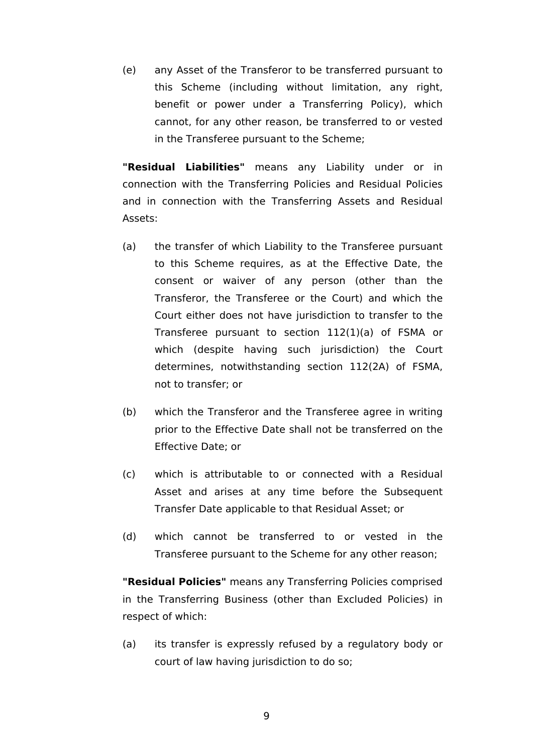(e) any Asset of the Transferor to be transferred pursuant to this Scheme (including without limitation, any right, benefit or power under a Transferring Policy), which cannot, for any other reason, be transferred to or vested in the Transferee pursuant to the Scheme;

**"Residual Liabilities"** means any Liability under or in connection with the Transferring Policies and Residual Policies and in connection with the Transferring Assets and Residual Assets:

- (a) the transfer of which Liability to the Transferee pursuant to this Scheme requires, as at the Effective Date, the consent or waiver of any person (other than the Transferor, the Transferee or the Court) and which the Court either does not have jurisdiction to transfer to the Transferee pursuant to section 112(1)(a) of FSMA or which (despite having such jurisdiction) the Court determines, notwithstanding section 112(2A) of FSMA, not to transfer; or
- (b) which the Transferor and the Transferee agree in writing prior to the Effective Date shall not be transferred on the Effective Date; or
- (c) which is attributable to or connected with a Residual Asset and arises at any time before the Subsequent Transfer Date applicable to that Residual Asset; or
- (d) which cannot be transferred to or vested in the Transferee pursuant to the Scheme for any other reason;

**"Residual Policies"** means any Transferring Policies comprised in the Transferring Business (other than Excluded Policies) in respect of which:

(a) its transfer is expressly refused by a regulatory body or court of law having jurisdiction to do so;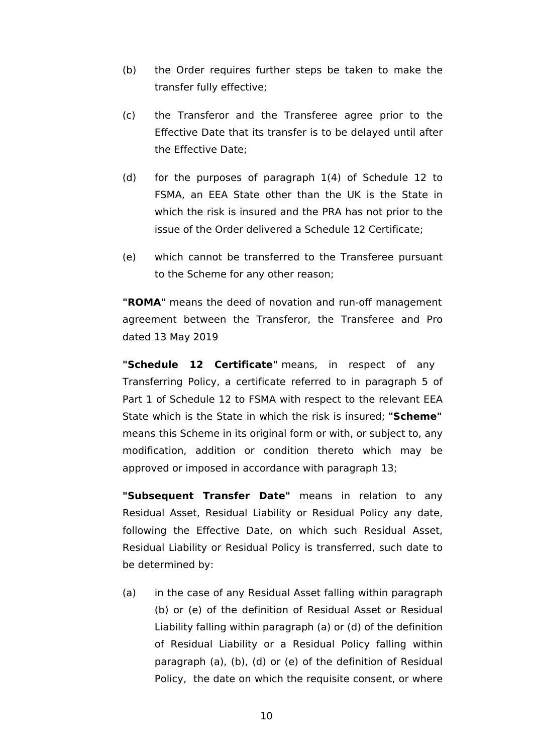- (b) the Order requires further steps be taken to make the transfer fully effective;
- (c) the Transferor and the Transferee agree prior to the Effective Date that its transfer is to be delayed until after the Effective Date;
- (d) for the purposes of paragraph 1(4) of Schedule 12 to FSMA, an EEA State other than the UK is the State in which the risk is insured and the PRA has not prior to the issue of the Order delivered a Schedule 12 Certificate;
- (e) which cannot be transferred to the Transferee pursuant to the Scheme for any other reason;

**"ROMA"** means the deed of novation and run-off management agreement between the Transferor, the Transferee and Pro dated 13 May 2019

**"Schedule 12 Certificate"** means, in respect of any Transferring Policy, a certificate referred to in paragraph 5 of Part 1 of Schedule 12 to FSMA with respect to the relevant EEA State which is the State in which the risk is insured; **"Scheme"**  means this Scheme in its original form or with, or subject to, any modification, addition or condition thereto which may be approved or imposed in accordance with paragraph 13;

**"Subsequent Transfer Date"** means in relation to any Residual Asset, Residual Liability or Residual Policy any date, following the Effective Date, on which such Residual Asset, Residual Liability or Residual Policy is transferred, such date to be determined by:

(a) in the case of any Residual Asset falling within paragraph (b) or (e) of the definition of Residual Asset or Residual Liability falling within paragraph (a) or (d) of the definition of Residual Liability or a Residual Policy falling within paragraph (a), (b), (d) or (e) of the definition of Residual Policy, the date on which the requisite consent, or where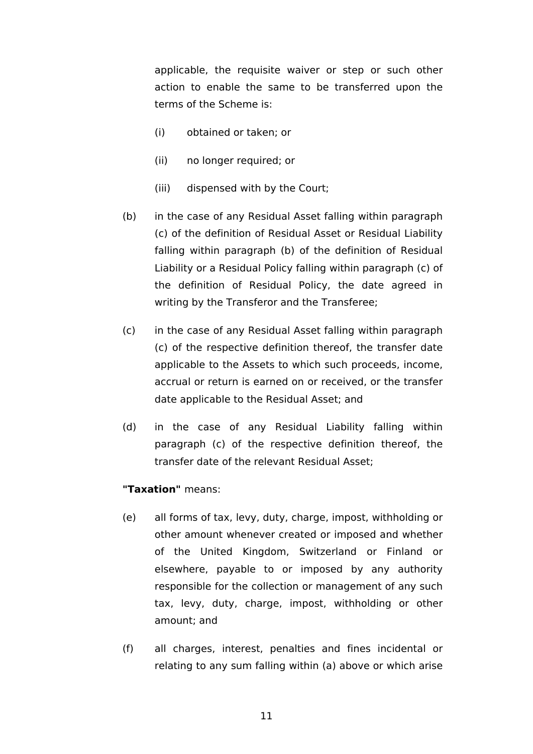applicable, the requisite waiver or step or such other action to enable the same to be transferred upon the terms of the Scheme is:

- (i) obtained or taken; or
- (ii) no longer required; or
- (iii) dispensed with by the Court;
- (b) in the case of any Residual Asset falling within paragraph (c) of the definition of Residual Asset or Residual Liability falling within paragraph (b) of the definition of Residual Liability or a Residual Policy falling within paragraph (c) of the definition of Residual Policy, the date agreed in writing by the Transferor and the Transferee;
- (c) in the case of any Residual Asset falling within paragraph (c) of the respective definition thereof, the transfer date applicable to the Assets to which such proceeds, income, accrual or return is earned on or received, or the transfer date applicable to the Residual Asset; and
- (d) in the case of any Residual Liability falling within paragraph (c) of the respective definition thereof, the transfer date of the relevant Residual Asset;

## **"Taxation"** means:

- (e) all forms of tax, levy, duty, charge, impost, withholding or other amount whenever created or imposed and whether of the United Kingdom, Switzerland or Finland or elsewhere, payable to or imposed by any authority responsible for the collection or management of any such tax, levy, duty, charge, impost, withholding or other amount; and
- (f) all charges, interest, penalties and fines incidental or relating to any sum falling within (a) above or which arise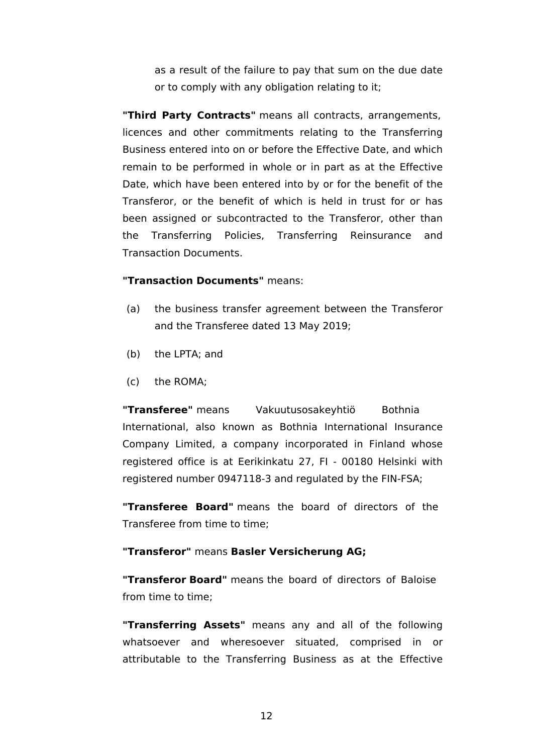as a result of the failure to pay that sum on the due date or to comply with any obligation relating to it;

**"Third Party Contracts"** means all contracts, arrangements, licences and other commitments relating to the Transferring Business entered into on or before the Effective Date, and which remain to be performed in whole or in part as at the Effective Date, which have been entered into by or for the benefit of the Transferor, or the benefit of which is held in trust for or has been assigned or subcontracted to the Transferor, other than the Transferring Policies, Transferring Reinsurance and Transaction Documents.

## **"Transaction Documents"** means:

- (a) the business transfer agreement between the Transferor and the Transferee dated 13 May 2019;
- (b) the LPTA; and
- (c) the ROMA;

**"Transferee"** means Vakuutusosakeyhtiö Bothnia International, also known as Bothnia International Insurance Company Limited, a company incorporated in Finland whose registered office is at Eerikinkatu 27, FI - 00180 Helsinki with registered number 0947118-3 and regulated by the FIN-FSA;

**"Transferee Board"** means the board of directors of the Transferee from time to time;

### **"Transferor"** means **Basler Versicherung AG;**

**"Transferor Board"** means the board of directors of Baloise from time to time;

**"Transferring Assets"** means any and all of the following whatsoever and wheresoever situated, comprised in or attributable to the Transferring Business as at the Effective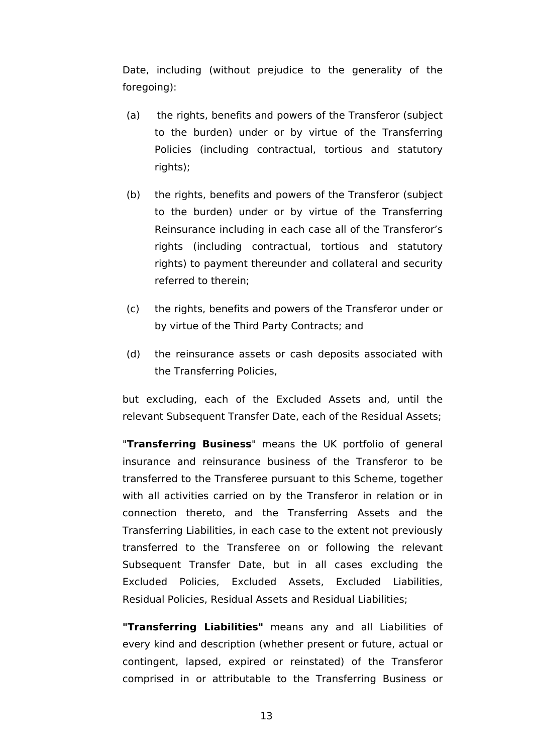Date, including (without prejudice to the generality of the foregoing):

- (a) the rights, benefits and powers of the Transferor (subject to the burden) under or by virtue of the Transferring Policies (including contractual, tortious and statutory rights);
- (b) the rights, benefits and powers of the Transferor (subject to the burden) under or by virtue of the Transferring Reinsurance including in each case all of the Transferor's rights (including contractual, tortious and statutory rights) to payment thereunder and collateral and security referred to therein;
- (c) the rights, benefits and powers of the Transferor under or by virtue of the Third Party Contracts; and
- (d) the reinsurance assets or cash deposits associated with the Transferring Policies,

but excluding, each of the Excluded Assets and, until the relevant Subsequent Transfer Date, each of the Residual Assets;

"**Transferring Business**" means the UK portfolio of general insurance and reinsurance business of the Transferor to be transferred to the Transferee pursuant to this Scheme, together with all activities carried on by the Transferor in relation or in connection thereto, and the Transferring Assets and the Transferring Liabilities, in each case to the extent not previously transferred to the Transferee on or following the relevant Subsequent Transfer Date, but in all cases excluding the Excluded Policies, Excluded Assets, Excluded Liabilities, Residual Policies, Residual Assets and Residual Liabilities;

**"Transferring Liabilities"** means any and all Liabilities of every kind and description (whether present or future, actual or contingent, lapsed, expired or reinstated) of the Transferor comprised in or attributable to the Transferring Business or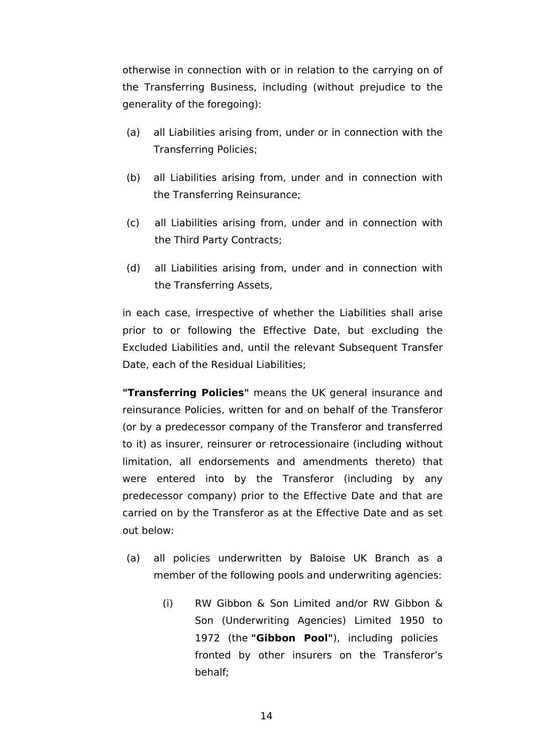otherwise in connection with or in relation to the carrying on of the Transferring Business, including (without prejudice to the generality of the foregoing):

- (a) all Liabilities arising from, under or in connection with the Transferring Policies;
- (b) all Liabilities arising from, under and in connection with the Transferring Reinsurance;
- (c) all Liabilities arising from, under and in connection with the Third Party Contracts;
- (d) all Liabilities arising from, under and in connection with the Transferring Assets,

in each case, irrespective of whether the Liabilities shall arise prior to or following the Effective Date, but excluding the Excluded Liabilities and, until the relevant Subsequent Transfer Date, each of the Residual Liabilities;

**"Transferring Policies"** means the UK general insurance and reinsurance Policies, written for and on behalf of the Transferor (or by a predecessor company of the Transferor and transferred to it) as insurer, reinsurer or retrocessionaire (including without limitation, all endorsements and amendments thereto) that were entered into by the Transferor (including by any predecessor company) prior to the Effective Date and that are carried on by the Transferor as at the Effective Date and as set out below:

- (a) all policies underwritten by Baloise UK Branch as a member of the following pools and underwriting agencies:
	- (i) RW Gibbon & Son Limited and/or RW Gibbon & Son (Underwriting Agencies) Limited 1950 to 1972 (the **"Gibbon Pool"**), including policies fronted by other insurers on the Transferor's behalf;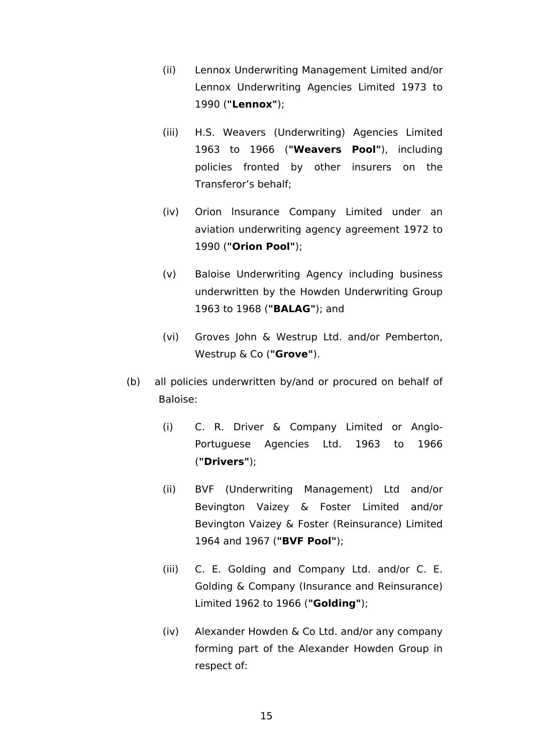- (ii) Lennox Underwriting Management Limited and/or Lennox Underwriting Agencies Limited 1973 to 1990 (**"Lennox"**);
- (iii) H.S. Weavers (Underwriting) Agencies Limited 1963 to 1966 (**"Weavers Pool"**), including policies fronted by other insurers on the Transferor's behalf;
- (iv) Orion lnsurance Company Limited under an aviation underwriting agency agreement 1972 to 1990 (**"Orion Pool"**);
- (v) Baloise Underwriting Agency including business underwritten by the Howden Underwriting Group 1963 to 1968 (**"BALAG"**); and
- (vi) Groves John & Westrup Ltd. and/or Pemberton, Westrup & Co (**"Grove"**).
- (b) all policies underwritten by/and or procured on behalf of Baloise:
	- (i) C. R. Driver & Company Limited or Anglo-Portuguese Agencies Ltd. 1963 to 1966 (**"Drivers"**);
	- (ii) BVF (Underwriting Management) Ltd and/or Bevington Vaizey & Foster Limited and/or Bevington Vaizey & Foster (Reinsurance) Limited 1964 and 1967 (**"BVF Pool"**);
	- (iii) C. E. Golding and Company Ltd. and/or C. E. Golding & Company (Insurance and Reinsurance) Limited 1962 to 1966 (**"Golding"**);
	- (iv) Alexander Howden & Co Ltd. and/or any company forming part of the Alexander Howden Group in respect of: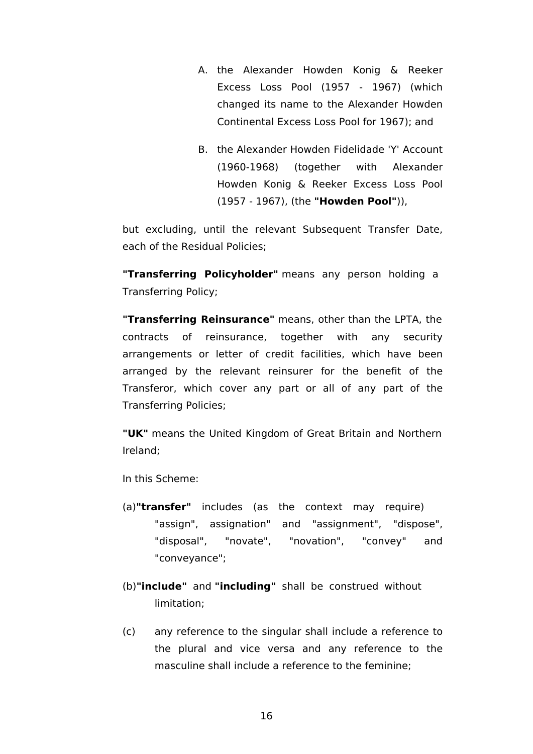- A. the Alexander Howden Konig & Reeker Excess Loss Pool (1957 - 1967) (which changed its name to the Alexander Howden Continental Excess Loss Pool for 1967); and
- B. the Alexander Howden Fidelidade 'Y' Account (1960-1968) (together with Alexander Howden Konig & Reeker Excess Loss Pool (1957 - 1967), (the **"Howden Pool"**)),

but excluding, until the relevant Subsequent Transfer Date, each of the Residual Policies;

**"Transferring Policyholder"** means any person holding a Transferring Policy;

**"Transferring Reinsurance"** means, other than the LPTA, the contracts of reinsurance, together with any security arrangements or letter of credit facilities, which have been arranged by the relevant reinsurer for the benefit of the Transferor, which cover any part or all of any part of the Transferring Policies;

**"UK"** means the United Kingdom of Great Britain and Northern Ireland;

In this Scheme:

- (a)**"transfer"** includes (as the context may require) "assign", assignation" and "assignment", "dispose", "disposal", "novate", "novation", "convey" and "conveyance";
- (b)**"include"** and **"including"** shall be construed without limitation;
- (c) any reference to the singular shall include a reference to the plural and vice versa and any reference to the masculine shall include a reference to the feminine;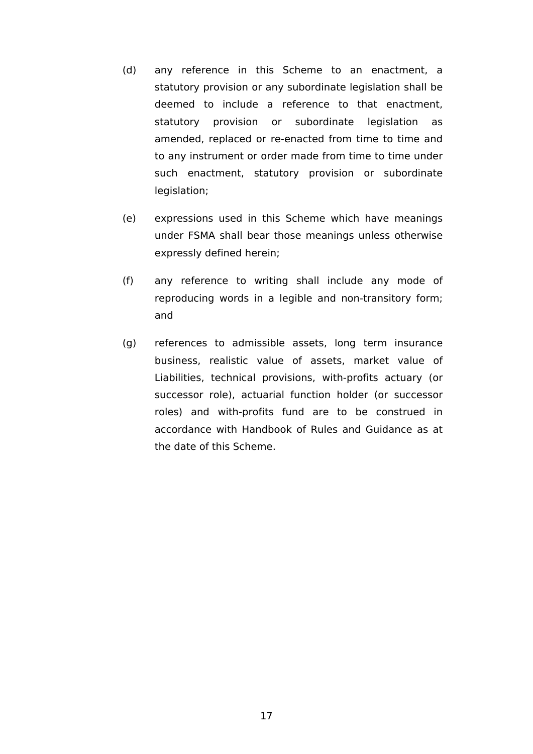- (d) any reference in this Scheme to an enactment, a statutory provision or any subordinate legislation shall be deemed to include a reference to that enactment, statutory provision or subordinate legislation as amended, replaced or re-enacted from time to time and to any instrument or order made from time to time under such enactment, statutory provision or subordinate legislation;
- (e) expressions used in this Scheme which have meanings under FSMA shall bear those meanings unless otherwise expressly defined herein;
- (f) any reference to writing shall include any mode of reproducing words in a legible and non-transitory form; and
- (g) references to admissible assets, long term insurance business, realistic value of assets, market value of Liabilities, technical provisions, with-profits actuary (or successor role), actuarial function holder (or successor roles) and with-profits fund are to be construed in accordance with Handbook of Rules and Guidance as at the date of this Scheme.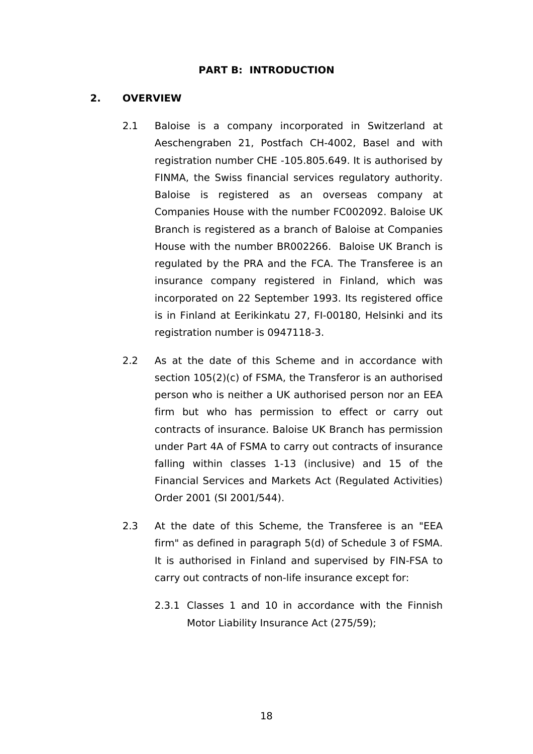### **PART B: INTRODUCTION**

### <span id="page-23-0"></span>**2. OVERVIEW**

- 2.1 Baloise is a company incorporated in Switzerland at Aeschengraben 21, Postfach CH-4002, Basel and with registration number CHE -105.805.649. It is authorised by FINMA, the Swiss financial services regulatory authority. Baloise is registered as an overseas company at Companies House with the number FC002092. Baloise UK Branch is registered as a branch of Baloise at Companies House with the number BR002266. Baloise UK Branch is regulated by the PRA and the FCA. The Transferee is an insurance company registered in Finland, which was incorporated on 22 September 1993. Its registered office is in Finland at Eerikinkatu 27, FI-00180, Helsinki and its registration number is 0947118-3.
- 2.2 As at the date of this Scheme and in accordance with section 105(2)(c) of FSMA, the Transferor is an authorised person who is neither a UK authorised person nor an EEA firm but who has permission to effect or carry out contracts of insurance. Baloise UK Branch has permission under Part 4A of FSMA to carry out contracts of insurance falling within classes 1-13 (inclusive) and 15 of the Financial Services and Markets Act (Regulated Activities) Order 2001 (SI 2001/544).
- 2.3 At the date of this Scheme, the Transferee is an "EEA firm" as defined in paragraph 5(d) of Schedule 3 of FSMA. It is authorised in Finland and supervised by FIN-FSA to carry out contracts of non-life insurance except for:
	- 2.3.1 Classes 1 and 10 in accordance with the Finnish Motor Liability Insurance Act (275/59);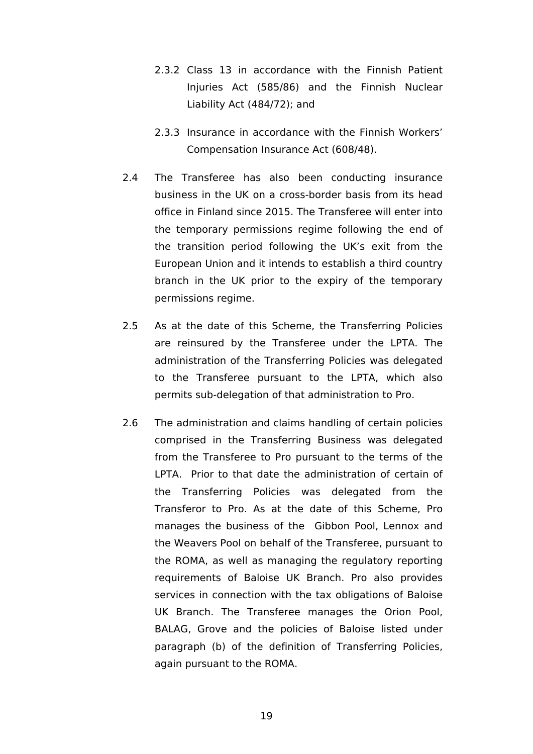- 2.3.2 Class 13 in accordance with the Finnish Patient Injuries Act (585/86) and the Finnish Nuclear Liability Act (484/72); and
- 2.3.3 Insurance in accordance with the Finnish Workers' Compensation Insurance Act (608/48).
- 2.4 The Transferee has also been conducting insurance business in the UK on a cross-border basis from its head office in Finland since 2015. The Transferee will enter into the temporary permissions regime following the end of the transition period following the UK's exit from the European Union and it intends to establish a third country branch in the UK prior to the expiry of the temporary permissions regime.
- 2.5 As at the date of this Scheme, the Transferring Policies are reinsured by the Transferee under the LPTA. The administration of the Transferring Policies was delegated to the Transferee pursuant to the LPTA, which also permits sub-delegation of that administration to Pro.
- <span id="page-24-0"></span>2.6 The administration and claims handling of certain policies comprised in the Transferring Business was delegated from the Transferee to Pro pursuant to the terms of the LPTA. Prior to that date the administration of certain of the Transferring Policies was delegated from the Transferor to Pro. As at the date of this Scheme, Pro manages the business of the Gibbon Pool, Lennox and the Weavers Pool on behalf of the Transferee, pursuant to the ROMA, as well as managing the regulatory reporting requirements of Baloise UK Branch. Pro also provides services in connection with the tax obligations of Baloise UK Branch. The Transferee manages the Orion Pool, BALAG, Grove and the policies of Baloise listed under paragraph (b) of the definition of Transferring Policies, again pursuant to the ROMA.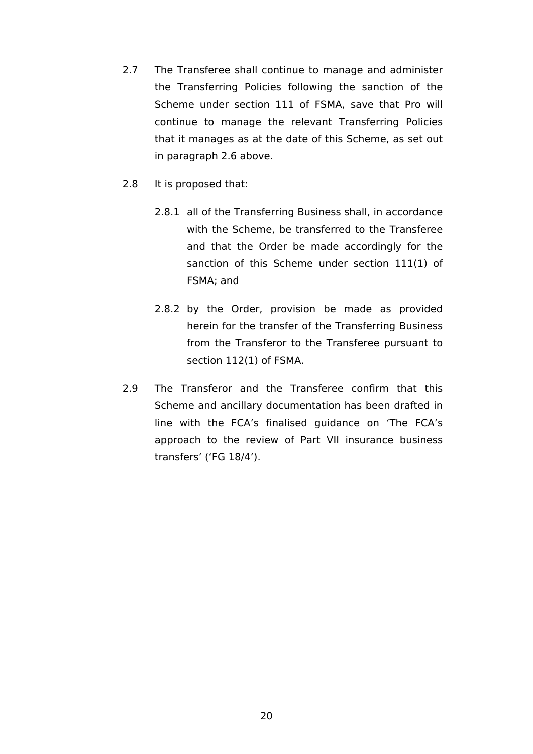- 2.7 The Transferee shall continue to manage and administer the Transferring Policies following the sanction of the Scheme under section 111 of FSMA, save that Pro will continue to manage the relevant Transferring Policies that it manages as at the date of this Scheme, as set out in paragraph [2.6](#page-24-0) above.
- 2.8 It is proposed that:
	- 2.8.1 all of the Transferring Business shall, in accordance with the Scheme, be transferred to the Transferee and that the Order be made accordingly for the sanction of this Scheme under section 111(1) of FSMA; and
	- 2.8.2 by the Order, provision be made as provided herein for the transfer of the Transferring Business from the Transferor to the Transferee pursuant to section 112(1) of FSMA.
- 2.9 The Transferor and the Transferee confirm that this Scheme and ancillary documentation has been drafted in line with the FCA's finalised guidance on 'The FCA's approach to the review of Part VII insurance business transfers' ('FG 18/4').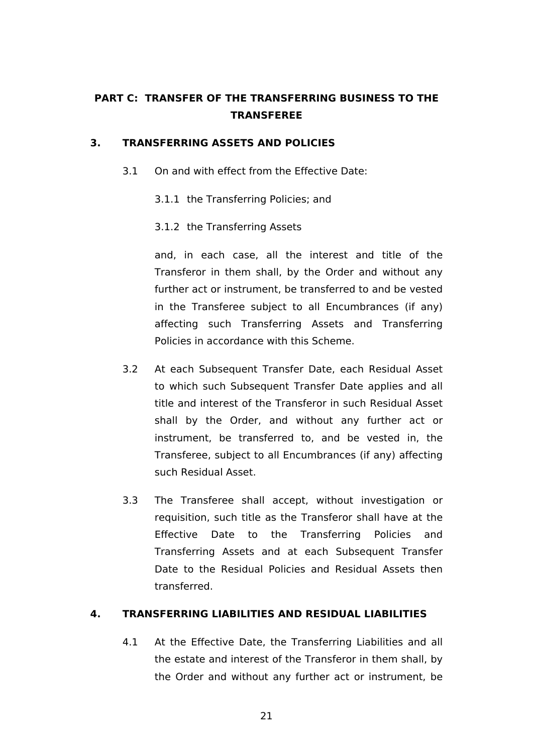# **PART C: TRANSFER OF THE TRANSFERRING BUSINESS TO THE TRANSFEREE**

## <span id="page-26-0"></span>**3. TRANSFERRING ASSETS AND POLICIES**

- <span id="page-26-2"></span>3.1 On and with effect from the Effective Date:
	- 3.1.1 the Transferring Policies; and
	- 3.1.2 the Transferring Assets

and, in each case, all the interest and title of the Transferor in them shall, by the Order and without any further act or instrument, be transferred to and be vested in the Transferee subject to all Encumbrances (if any) affecting such Transferring Assets and Transferring Policies in accordance with this Scheme.

- <span id="page-26-3"></span>3.2 At each Subsequent Transfer Date, each Residual Asset to which such Subsequent Transfer Date applies and all title and interest of the Transferor in such Residual Asset shall by the Order, and without any further act or instrument, be transferred to, and be vested in, the Transferee, subject to all Encumbrances (if any) affecting such Residual Asset.
- 3.3 The Transferee shall accept, without investigation or requisition, such title as the Transferor shall have at the Effective Date to the Transferring Policies and Transferring Assets and at each Subsequent Transfer Date to the Residual Policies and Residual Assets then transferred.

## <span id="page-26-1"></span>**4. TRANSFERRING LIABILITIES AND RESIDUAL LIABILITIES**

<span id="page-26-4"></span>4.1 At the Effective Date, the Transferring Liabilities and all the estate and interest of the Transferor in them shall, by the Order and without any further act or instrument, be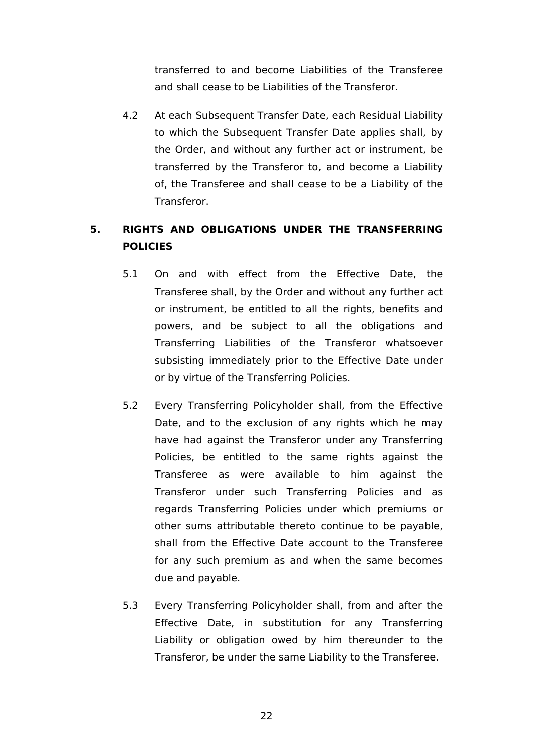transferred to and become Liabilities of the Transferee and shall cease to be Liabilities of the Transferor.

<span id="page-27-1"></span>4.2 At each Subsequent Transfer Date, each Residual Liability to which the Subsequent Transfer Date applies shall, by the Order, and without any further act or instrument, be transferred by the Transferor to, and become a Liability of, the Transferee and shall cease to be a Liability of the Transferor.

# <span id="page-27-0"></span>**5. RIGHTS AND OBLIGATIONS UNDER THE TRANSFERRING POLICIES**

- 5.1 On and with effect from the Effective Date, the Transferee shall, by the Order and without any further act or instrument, be entitled to all the rights, benefits and powers, and be subject to all the obligations and Transferring Liabilities of the Transferor whatsoever subsisting immediately prior to the Effective Date under or by virtue of the Transferring Policies.
- 5.2 Every Transferring Policyholder shall, from the Effective Date, and to the exclusion of any rights which he may have had against the Transferor under any Transferring Policies, be entitled to the same rights against the Transferee as were available to him against the Transferor under such Transferring Policies and as regards Transferring Policies under which premiums or other sums attributable thereto continue to be payable, shall from the Effective Date account to the Transferee for any such premium as and when the same becomes due and payable.
- 5.3 Every Transferring Policyholder shall, from and after the Effective Date, in substitution for any Transferring Liability or obligation owed by him thereunder to the Transferor, be under the same Liability to the Transferee.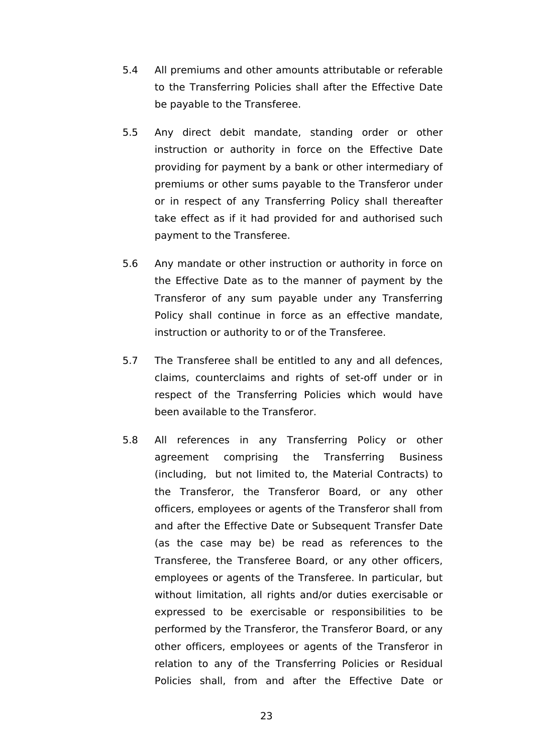- 5.4 All premiums and other amounts attributable or referable to the Transferring Policies shall after the Effective Date be payable to the Transferee.
- 5.5 Any direct debit mandate, standing order or other instruction or authority in force on the Effective Date providing for payment by a bank or other intermediary of premiums or other sums payable to the Transferor under or in respect of any Transferring Policy shall thereafter take effect as if it had provided for and authorised such payment to the Transferee.
- 5.6 Any mandate or other instruction or authority in force on the Effective Date as to the manner of payment by the Transferor of any sum payable under any Transferring Policy shall continue in force as an effective mandate, instruction or authority to or of the Transferee.
- 5.7 The Transferee shall be entitled to any and all defences, claims, counterclaims and rights of set-off under or in respect of the Transferring Policies which would have been available to the Transferor.
- 5.8 All references in any Transferring Policy or other agreement comprising the Transferring Business (including, but not limited to, the Material Contracts) to the Transferor, the Transferor Board, or any other officers, employees or agents of the Transferor shall from and after the Effective Date or Subsequent Transfer Date (as the case may be) be read as references to the Transferee, the Transferee Board, or any other officers, employees or agents of the Transferee. In particular, but without limitation, all rights and/or duties exercisable or expressed to be exercisable or responsibilities to be performed by the Transferor, the Transferor Board, or any other officers, employees or agents of the Transferor in relation to any of the Transferring Policies or Residual Policies shall, from and after the Effective Date or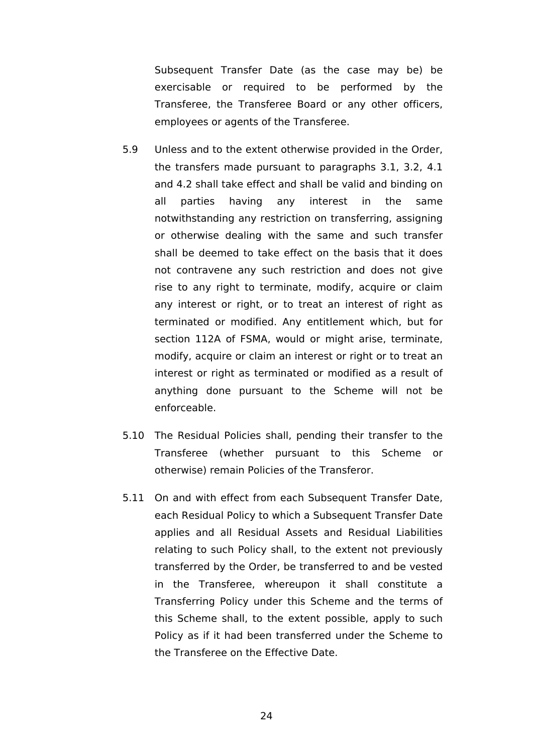Subsequent Transfer Date (as the case may be) be exercisable or required to be performed by the Transferee, the Transferee Board or any other officers, employees or agents of the Transferee.

- 5.9 Unless and to the extent otherwise provided in the Order, the transfers made pursuant to paragraphs [3.1](#page-26-2), [3.2](#page-26-3), [4.1](#page-26-4)  and [4.2](#page-27-1) shall take effect and shall be valid and binding on all parties having any interest in the same notwithstanding any restriction on transferring, assigning or otherwise dealing with the same and such transfer shall be deemed to take effect on the basis that it does not contravene any such restriction and does not give rise to any right to terminate, modify, acquire or claim any interest or right, or to treat an interest of right as terminated or modified. Any entitlement which, but for section 112A of FSMA, would or might arise, terminate, modify, acquire or claim an interest or right or to treat an interest or right as terminated or modified as a result of anything done pursuant to the Scheme will not be enforceable.
- 5.10 The Residual Policies shall, pending their transfer to the Transferee (whether pursuant to this Scheme or otherwise) remain Policies of the Transferor.
- 5.11 On and with effect from each Subsequent Transfer Date, each Residual Policy to which a Subsequent Transfer Date applies and all Residual Assets and Residual Liabilities relating to such Policy shall, to the extent not previously transferred by the Order, be transferred to and be vested in the Transferee, whereupon it shall constitute a Transferring Policy under this Scheme and the terms of this Scheme shall, to the extent possible, apply to such Policy as if it had been transferred under the Scheme to the Transferee on the Effective Date.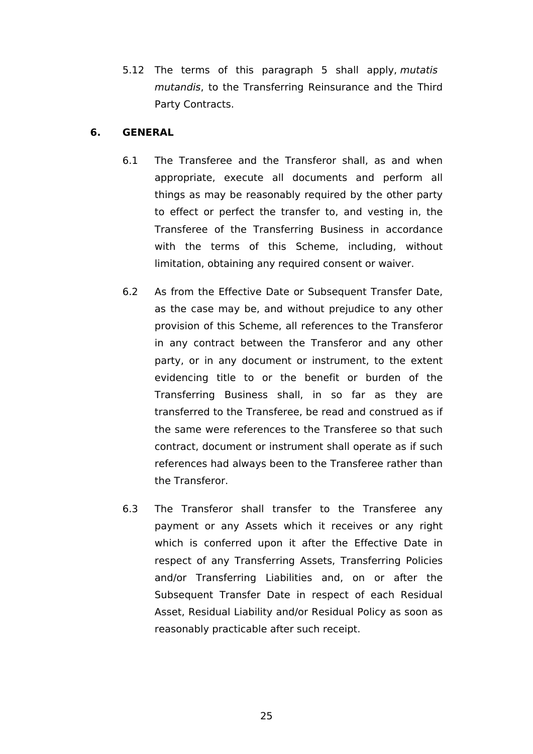5.12 The terms of this paragraph [5](#page-27-0) shall apply, *mutatis mutandis*, to the Transferring Reinsurance and the Third Party Contracts.

## <span id="page-30-0"></span>**6. GENERAL**

- 6.1 The Transferee and the Transferor shall, as and when appropriate, execute all documents and perform all things as may be reasonably required by the other party to effect or perfect the transfer to, and vesting in, the Transferee of the Transferring Business in accordance with the terms of this Scheme, including, without limitation, obtaining any required consent or waiver.
- 6.2 As from the Effective Date or Subsequent Transfer Date, as the case may be, and without prejudice to any other provision of this Scheme, all references to the Transferor in any contract between the Transferor and any other party, or in any document or instrument, to the extent evidencing title to or the benefit or burden of the Transferring Business shall, in so far as they are transferred to the Transferee, be read and construed as if the same were references to the Transferee so that such contract, document or instrument shall operate as if such references had always been to the Transferee rather than the Transferor.
- 6.3 The Transferor shall transfer to the Transferee any payment or any Assets which it receives or any right which is conferred upon it after the Effective Date in respect of any Transferring Assets, Transferring Policies and/or Transferring Liabilities and, on or after the Subsequent Transfer Date in respect of each Residual Asset, Residual Liability and/or Residual Policy as soon as reasonably practicable after such receipt.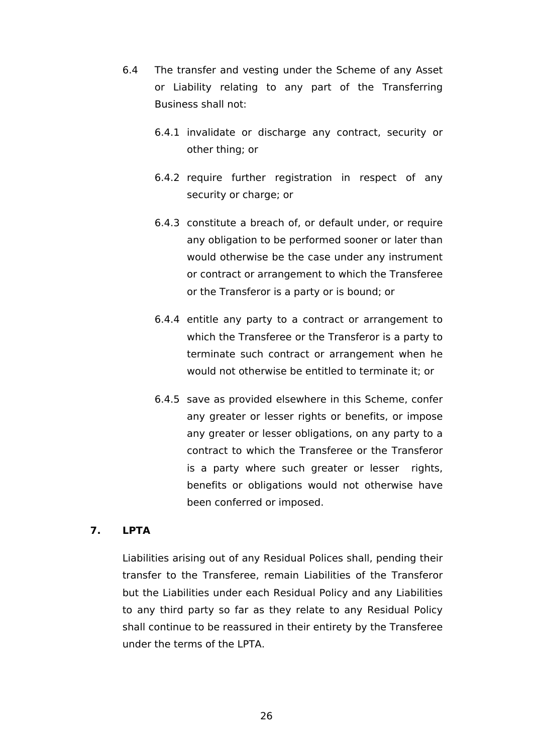- 6.4 The transfer and vesting under the Scheme of any Asset or Liability relating to any part of the Transferring Business shall not:
	- 6.4.1 invalidate or discharge any contract, security or other thing; or
	- 6.4.2 require further registration in respect of any security or charge; or
	- 6.4.3 constitute a breach of, or default under, or require any obligation to be performed sooner or later than would otherwise be the case under any instrument or contract or arrangement to which the Transferee or the Transferor is a party or is bound; or
	- 6.4.4 entitle any party to a contract or arrangement to which the Transferee or the Transferor is a party to terminate such contract or arrangement when he would not otherwise be entitled to terminate it; or
	- 6.4.5 save as provided elsewhere in this Scheme, confer any greater or lesser rights or benefits, or impose any greater or lesser obligations, on any party to a contract to which the Transferee or the Transferor is a party where such greater or lesser rights, benefits or obligations would not otherwise have been conferred or imposed.

## <span id="page-31-0"></span>**7. LPTA**

Liabilities arising out of any Residual Polices shall, pending their transfer to the Transferee, remain Liabilities of the Transferor but the Liabilities under each Residual Policy and any Liabilities to any third party so far as they relate to any Residual Policy shall continue to be reassured in their entirety by the Transferee under the terms of the LPTA.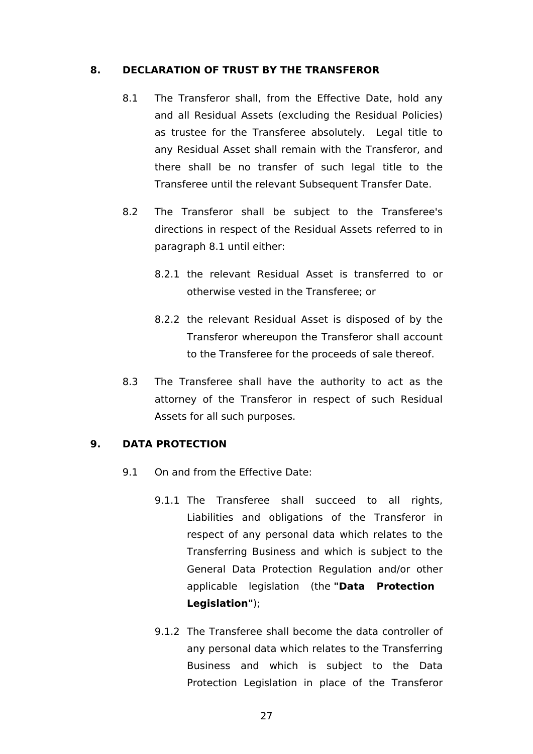### <span id="page-32-0"></span>**8. DECLARATION OF TRUST BY THE TRANSFEROR**

- <span id="page-32-3"></span>8.1 The Transferor shall, from the Effective Date, hold any and all Residual Assets (excluding the Residual Policies) as trustee for the Transferee absolutely. Legal title to any Residual Asset shall remain with the Transferor, and there shall be no transfer of such legal title to the Transferee until the relevant Subsequent Transfer Date.
- 8.2 The Transferor shall be subject to the Transferee's directions in respect of the Residual Assets referred to in paragraph [8.1](#page-32-3) until either:
	- 8.2.1 the relevant Residual Asset is transferred to or otherwise vested in the Transferee; or
	- 8.2.2 the relevant Residual Asset is disposed of by the Transferor whereupon the Transferor shall account to the Transferee for the proceeds of sale thereof.
- 8.3 The Transferee shall have the authority to act as the attorney of the Transferor in respect of such Residual Assets for all such purposes.

## <span id="page-32-1"></span>**9. DATA PROTECTION**

- <span id="page-32-2"></span>9.1 On and from the Effective Date:
	- 9.1.1 The Transferee shall succeed to all rights, Liabilities and obligations of the Transferor in respect of any personal data which relates to the Transferring Business and which is subject to the General Data Protection Regulation and/or other applicable legislation (the **"Data Protection Legislation"**);
	- 9.1.2 The Transferee shall become the data controller of any personal data which relates to the Transferring Business and which is subject to the Data Protection Legislation in place of the Transferor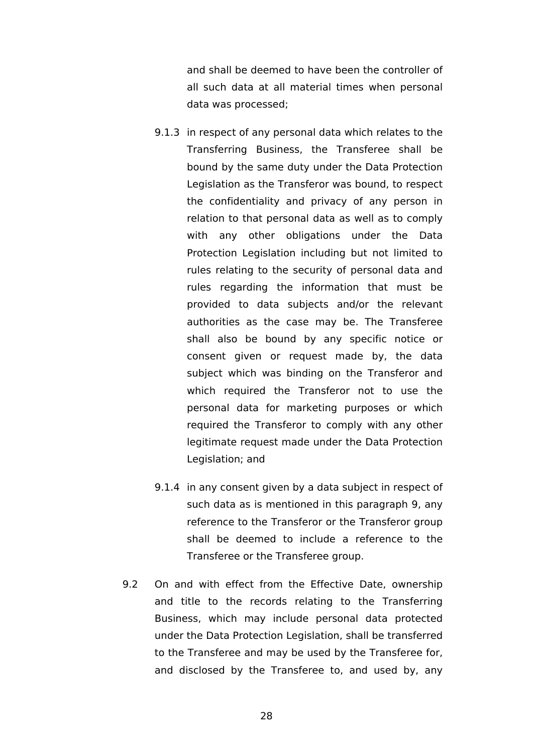and shall be deemed to have been the controller of all such data at all material times when personal data was processed;

- 9.1.3 in respect of any personal data which relates to the Transferring Business, the Transferee shall be bound by the same duty under the Data Protection Legislation as the Transferor was bound, to respect the confidentiality and privacy of any person in relation to that personal data as well as to comply with any other obligations under the Data Protection Legislation including but not limited to rules relating to the security of personal data and rules regarding the information that must be provided to data subjects and/or the relevant authorities as the case may be. The Transferee shall also be bound by any specific notice or consent given or request made by, the data subject which was binding on the Transferor and which required the Transferor not to use the personal data for marketing purposes or which required the Transferor to comply with any other legitimate request made under the Data Protection Legislation; and
- 9.1.4 in any consent given by a data subject in respect of such data as is mentioned in this paragraph [9,](#page-32-1) any reference to the Transferor or the Transferor group shall be deemed to include a reference to the Transferee or the Transferee group.
- <span id="page-33-0"></span>9.2 On and with effect from the Effective Date, ownership and title to the records relating to the Transferring Business, which may include personal data protected under the Data Protection Legislation, shall be transferred to the Transferee and may be used by the Transferee for, and disclosed by the Transferee to, and used by, any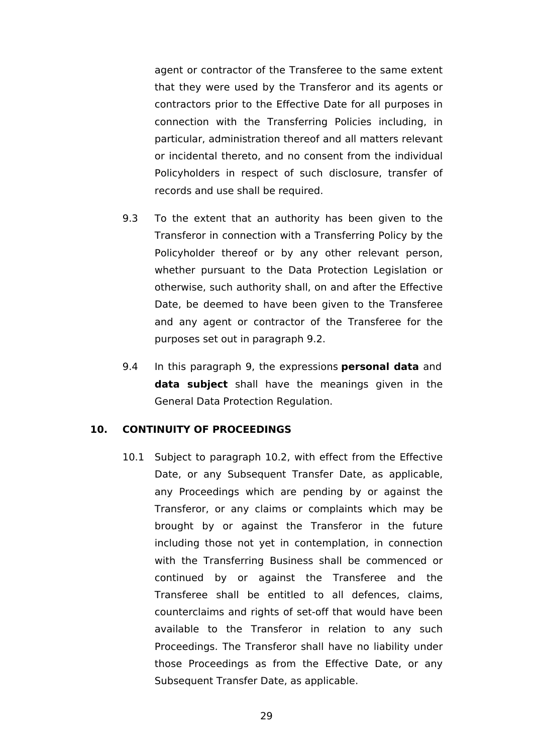agent or contractor of the Transferee to the same extent that they were used by the Transferor and its agents or contractors prior to the Effective Date for all purposes in connection with the Transferring Policies including, in particular, administration thereof and all matters relevant or incidental thereto, and no consent from the individual Policyholders in respect of such disclosure, transfer of records and use shall be required.

- 9.3 To the extent that an authority has been given to the Transferor in connection with a Transferring Policy by the Policyholder thereof or by any other relevant person, whether pursuant to the Data Protection Legislation or otherwise, such authority shall, on and after the Effective Date, be deemed to have been given to the Transferee and any agent or contractor of the Transferee for the purposes set out in paragraph [9.2](#page-33-0).
- 9.4 In this paragraph [9](#page-32-1), the expressions **personal data** and **data subject** shall have the meanings given in the General Data Protection Regulation.

### <span id="page-34-0"></span>**10. CONTINUITY OF PROCEEDINGS**

10.1 Subject to paragraph [10.2,](#page-35-0) with effect from the Effective Date, or any Subsequent Transfer Date, as applicable, any Proceedings which are pending by or against the Transferor, or any claims or complaints which may be brought by or against the Transferor in the future including those not yet in contemplation, in connection with the Transferring Business shall be commenced or continued by or against the Transferee and the Transferee shall be entitled to all defences, claims, counterclaims and rights of set-off that would have been available to the Transferor in relation to any such Proceedings. The Transferor shall have no liability under those Proceedings as from the Effective Date, or any Subsequent Transfer Date, as applicable.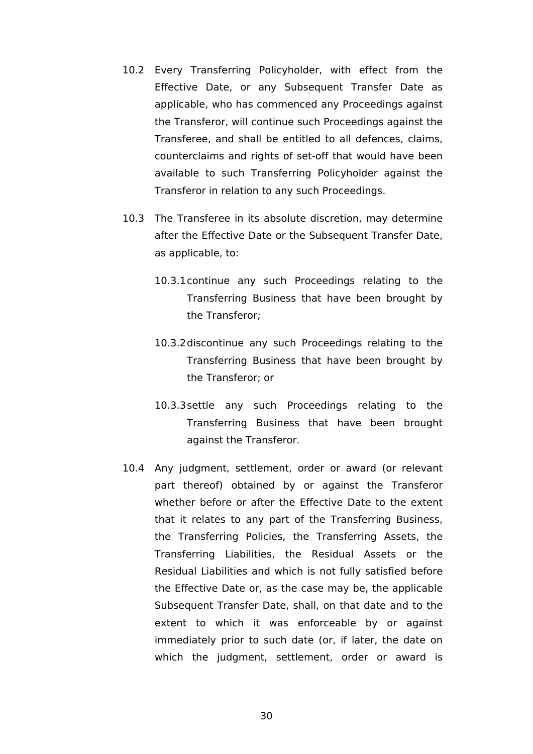- <span id="page-35-0"></span>10.2 Every Transferring Policyholder, with effect from the Effective Date, or any Subsequent Transfer Date as applicable, who has commenced any Proceedings against the Transferor, will continue such Proceedings against the Transferee, and shall be entitled to all defences, claims, counterclaims and rights of set-off that would have been available to such Transferring Policyholder against the Transferor in relation to any such Proceedings.
- 10.3 The Transferee in its absolute discretion, may determine after the Effective Date or the Subsequent Transfer Date, as applicable, to:
	- 10.3.1continue any such Proceedings relating to the Transferring Business that have been brought by the Transferor;
	- 10.3.2discontinue any such Proceedings relating to the Transferring Business that have been brought by the Transferor; or
	- 10.3.3settle any such Proceedings relating to the Transferring Business that have been brought against the Transferor.
- 10.4 Any judgment, settlement, order or award (or relevant part thereof) obtained by or against the Transferor whether before or after the Effective Date to the extent that it relates to any part of the Transferring Business, the Transferring Policies, the Transferring Assets, the Transferring Liabilities, the Residual Assets or the Residual Liabilities and which is not fully satisfied before the Effective Date or, as the case may be, the applicable Subsequent Transfer Date, shall, on that date and to the extent to which it was enforceable by or against immediately prior to such date (or, if later, the date on which the judgment, settlement, order or award is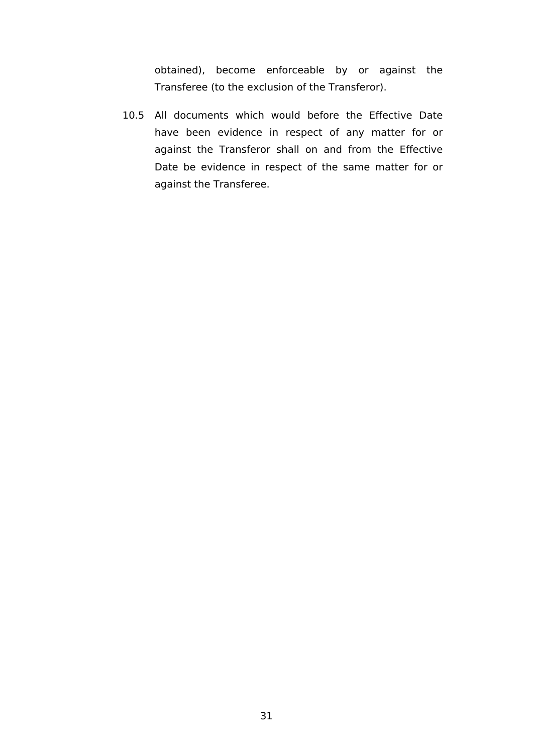obtained), become enforceable by or against the Transferee (to the exclusion of the Transferor).

10.5 All documents which would before the Effective Date have been evidence in respect of any matter for or against the Transferor shall on and from the Effective Date be evidence in respect of the same matter for or against the Transferee.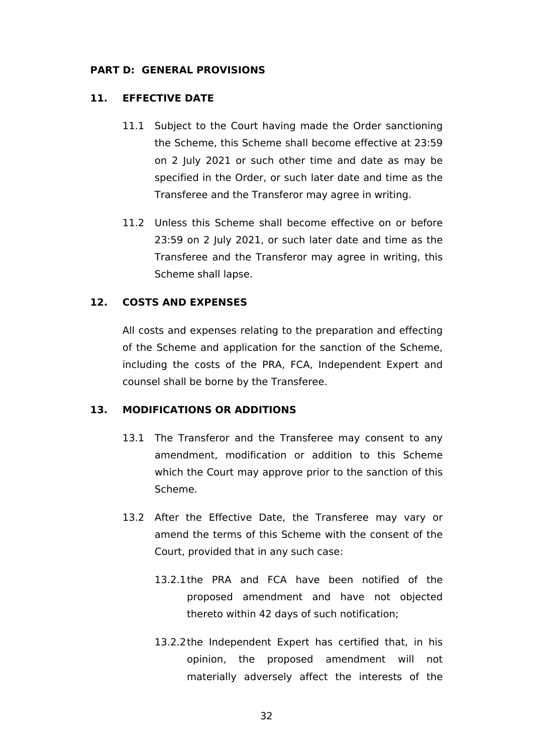### **PART D: GENERAL PROVISIONS**

## <span id="page-37-0"></span>**11. EFFECTIVE DATE**

- 11.1 Subject to the Court having made the Order sanctioning the Scheme, this Scheme shall become effective at 23:59 on 2 July 2021 or such other time and date as may be specified in the Order, or such later date and time as the Transferee and the Transferor may agree in writing.
- 11.2 Unless this Scheme shall become effective on or before 23:59 on 2 July 2021, or such later date and time as the Transferee and the Transferor may agree in writing, this Scheme shall lapse.

## <span id="page-37-1"></span>**12. COSTS AND EXPENSES**

All costs and expenses relating to the preparation and effecting of the Scheme and application for the sanction of the Scheme, including the costs of the PRA, FCA, Independent Expert and counsel shall be borne by the Transferee.

## <span id="page-37-2"></span>**13. MODIFICATIONS OR ADDITIONS**

- <span id="page-37-5"></span>13.1 The Transferor and the Transferee may consent to any amendment, modification or addition to this Scheme which the Court may approve prior to the sanction of this Scheme.
- <span id="page-37-6"></span><span id="page-37-4"></span><span id="page-37-3"></span>13.2 After the Effective Date, the Transferee may vary or amend the terms of this Scheme with the consent of the Court, provided that in any such case:
	- 13.2.1the PRA and FCA have been notified of the proposed amendment and have not objected thereto within 42 days of such notification;
	- 13.2.2the Independent Expert has certified that, in his opinion, the proposed amendment will not materially adversely affect the interests of the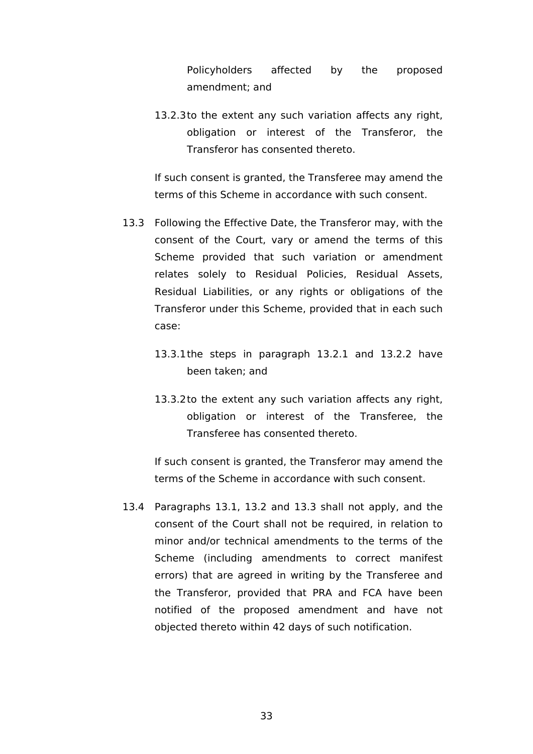Policyholders affected by the proposed amendment; and

13.2.3to the extent any such variation affects any right, obligation or interest of the Transferor, the Transferor has consented thereto.

If such consent is granted, the Transferee may amend the terms of this Scheme in accordance with such consent.

- <span id="page-38-0"></span>13.3 Following the Effective Date, the Transferor may, with the consent of the Court, vary or amend the terms of this Scheme provided that such variation or amendment relates solely to Residual Policies, Residual Assets, Residual Liabilities, or any rights or obligations of the Transferor under this Scheme, provided that in each such case:
	- 13.3.1the steps in paragraph [13.2.1](#page-37-3) and [13.2.2](#page-37-4) have been taken; and
	- 13.3.2to the extent any such variation affects any right, obligation or interest of the Transferee, the Transferee has consented thereto.

If such consent is granted, the Transferor may amend the terms of the Scheme in accordance with such consent.

13.4 Paragraphs [13.1,](#page-37-5) [13.2](#page-37-6) and [13.3](#page-38-0) shall not apply, and the consent of the Court shall not be required, in relation to minor and/or technical amendments to the terms of the Scheme (including amendments to correct manifest errors) that are agreed in writing by the Transferee and the Transferor, provided that PRA and FCA have been notified of the proposed amendment and have not objected thereto within 42 days of such notification.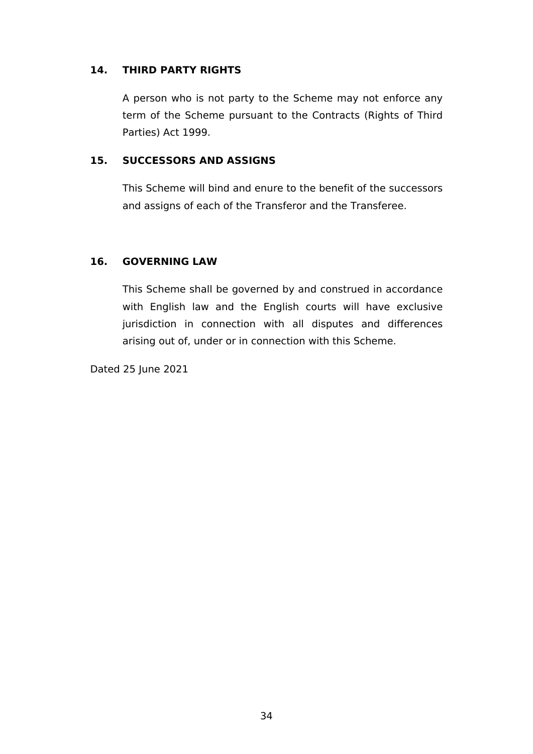## <span id="page-39-0"></span>**14. THIRD PARTY RIGHTS**

A person who is not party to the Scheme may not enforce any term of the Scheme pursuant to the Contracts (Rights of Third Parties) Act 1999.

## <span id="page-39-1"></span>**15. SUCCESSORS AND ASSIGNS**

This Scheme will bind and enure to the benefit of the successors and assigns of each of the Transferor and the Transferee.

## <span id="page-39-2"></span>**16. GOVERNING LAW**

This Scheme shall be governed by and construed in accordance with English law and the English courts will have exclusive jurisdiction in connection with all disputes and differences arising out of, under or in connection with this Scheme.

Dated 25 June 2021